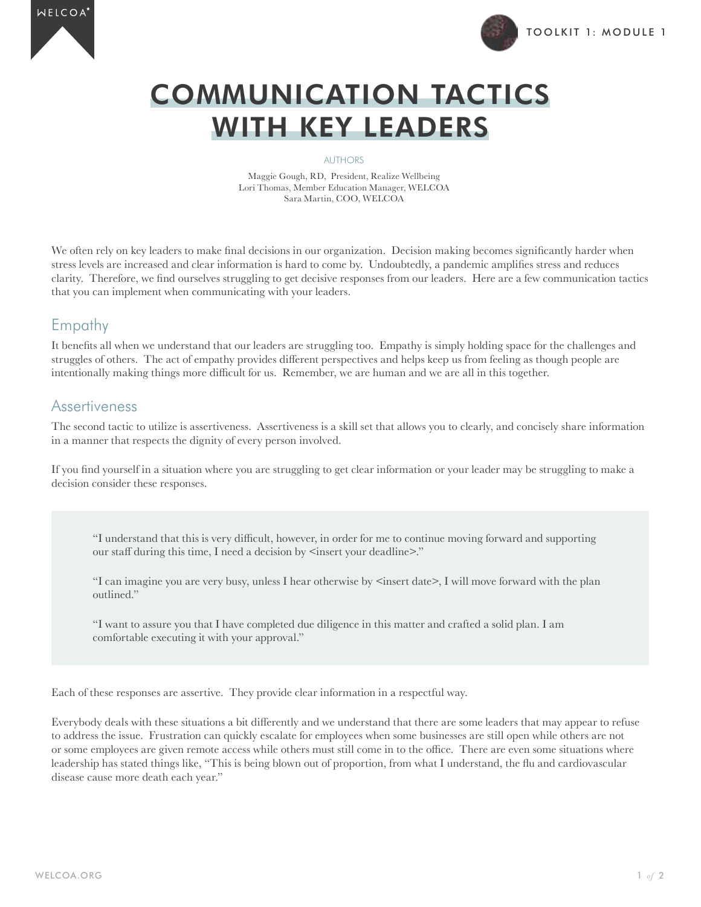



# COMMUNICATION TACTICS WITH KEY LEADERS

#### AUTHORS

Maggie Gough, RD, President, Realize Wellbeing Lori Thomas, Member Education Manager, WELCOA Sara Martin, COO, WELCOA

We often rely on key leaders to make final decisions in our organization. Decision making becomes significantly harder when stress levels are increased and clear information is hard to come by. Undoubtedly, a pandemic amplifies stress and reduces clarity. Therefore, we find ourselves struggling to get decisive responses from our leaders. Here are a few communication tactics that you can implement when communicating with your leaders.

## Empathy

It benefits all when we understand that our leaders are struggling too. Empathy is simply holding space for the challenges and struggles of others. The act of empathy provides different perspectives and helps keep us from feeling as though people are intentionally making things more difficult for us. Remember, we are human and we are all in this together.

### **Assertiveness**

The second tactic to utilize is assertiveness. Assertiveness is a skill set that allows you to clearly, and concisely share information in a manner that respects the dignity of every person involved.

If you find yourself in a situation where you are struggling to get clear information or your leader may be struggling to make a decision consider these responses.

"I understand that this is very difficult, however, in order for me to continue moving forward and supporting our staff during this time, I need a decision by  $\leq$  insert your deadline $\geq$ ."

"I can imagine you are very busy, unless I hear otherwise by  $\leq$  insert date $\geq$ , I will move forward with the plan outlined."

"I want to assure you that I have completed due diligence in this matter and crafted a solid plan. I am comfortable executing it with your approval."

Each of these responses are assertive. They provide clear information in a respectful way.

Everybody deals with these situations a bit differently and we understand that there are some leaders that may appear to refuse to address the issue. Frustration can quickly escalate for employees when some businesses are still open while others are not or some employees are given remote access while others must still come in to the office. There are even some situations where leadership has stated things like, "This is being blown out of proportion, from what I understand, the flu and cardiovascular disease cause more death each year."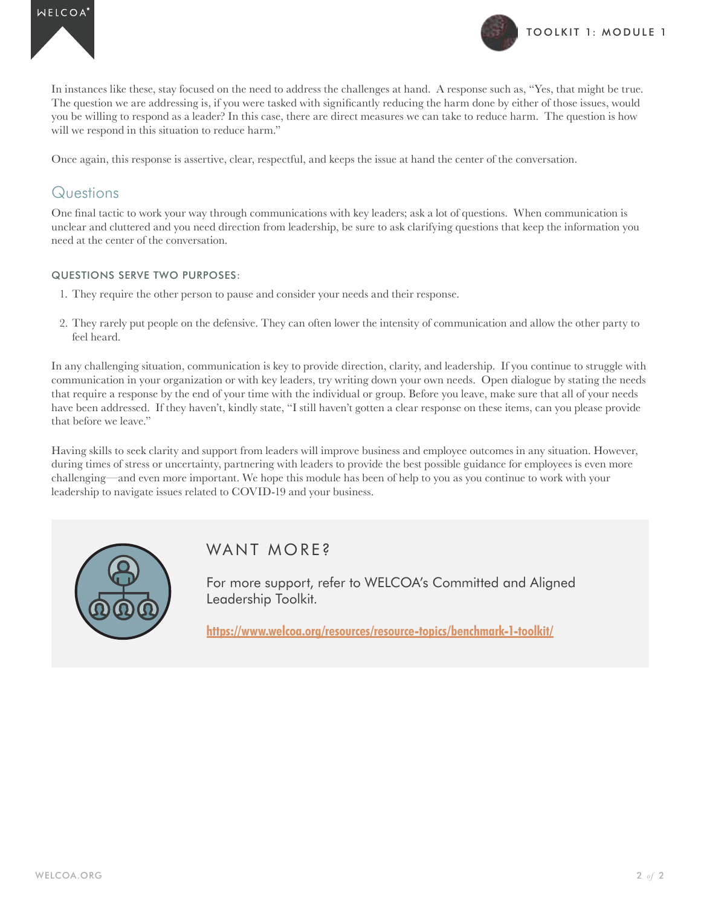



In instances like these, stay focused on the need to address the challenges at hand. A response such as, "Yes, that might be true. The question we are addressing is, if you were tasked with significantly reducing the harm done by either of those issues, would you be willing to respond as a leader? In this case, there are direct measures we can take to reduce harm. The question is how will we respond in this situation to reduce harm."

Once again, this response is assertive, clear, respectful, and keeps the issue at hand the center of the conversation.

### **Questions**

One final tactic to work your way through communications with key leaders; ask a lot of questions. When communication is unclear and cluttered and you need direction from leadership, be sure to ask clarifying questions that keep the information you need at the center of the conversation.

### QUESTIONS SERVE TWO PURPOSES:

- 1. They require the other person to pause and consider your needs and their response.
- 2. They rarely put people on the defensive. They can often lower the intensity of communication and allow the other party to feel heard.

In any challenging situation, communication is key to provide direction, clarity, and leadership. If you continue to struggle with communication in your organization or with key leaders, try writing down your own needs. Open dialogue by stating the needs that require a response by the end of your time with the individual or group. Before you leave, make sure that all of your needs have been addressed. If they haven't, kindly state, "I still haven't gotten a clear response on these items, can you please provide that before we leave."

Having skills to seek clarity and support from leaders will improve business and employee outcomes in any situation. However, during times of stress or uncertainty, partnering with leaders to provide the best possible guidance for employees is even more challenging—and even more important. We hope this module has been of help to you as you continue to work with your leadership to navigate issues related to COVID-19 and your business.



## WANT MORF?

For more support, refer to WELCOA's Committed and Aligned Leadership Toolkit.

**https://www.welcoa.org/resources/resource-topics/benchmark-1-toolkit/**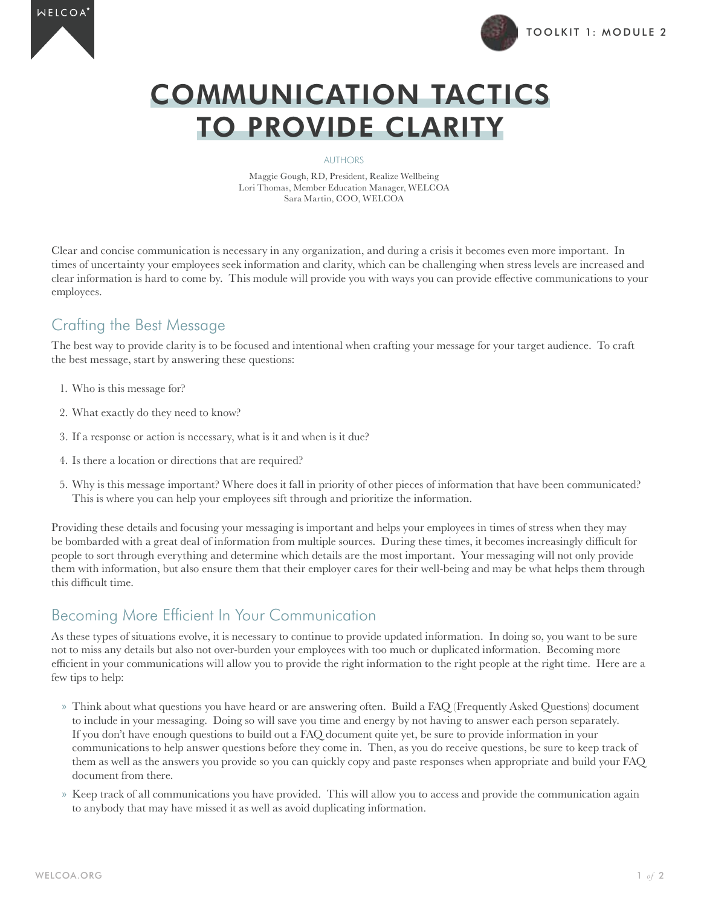



# COMMUNICATION TACTICS TO PROVIDE CLARITY

#### AUTHORS

Maggie Gough, RD, President, Realize Wellbeing Lori Thomas, Member Education Manager, WELCOA Sara Martin, COO, WELCOA

Clear and concise communication is necessary in any organization, and during a crisis it becomes even more important. In times of uncertainty your employees seek information and clarity, which can be challenging when stress levels are increased and clear information is hard to come by. This module will provide you with ways you can provide effective communications to your employees.

## Crafting the Best Message

The best way to provide clarity is to be focused and intentional when crafting your message for your target audience. To craft the best message, start by answering these questions:

- 1. Who is this message for?
- 2. What exactly do they need to know?
- 3. If a response or action is necessary, what is it and when is it due?
- 4. Is there a location or directions that are required?
- 5. Why is this message important? Where does it fall in priority of other pieces of information that have been communicated? This is where you can help your employees sift through and prioritize the information.

Providing these details and focusing your messaging is important and helps your employees in times of stress when they may be bombarded with a great deal of information from multiple sources. During these times, it becomes increasingly difficult for people to sort through everything and determine which details are the most important. Your messaging will not only provide them with information, but also ensure them that their employer cares for their well-being and may be what helps them through this difficult time.

# Becoming More Efficient In Your Communication

As these types of situations evolve, it is necessary to continue to provide updated information. In doing so, you want to be sure not to miss any details but also not over-burden your employees with too much or duplicated information. Becoming more efficient in your communications will allow you to provide the right information to the right people at the right time. Here are a few tips to help:

- » Think about what questions you have heard or are answering often. Build a FAQ (Frequently Asked Questions) document to include in your messaging. Doing so will save you time and energy by not having to answer each person separately. If you don't have enough questions to build out a FAQ document quite yet, be sure to provide information in your communications to help answer questions before they come in. Then, as you do receive questions, be sure to keep track of them as well as the answers you provide so you can quickly copy and paste responses when appropriate and build your FAQ document from there.
- » Keep track of all communications you have provided. This will allow you to access and provide the communication again to anybody that may have missed it as well as avoid duplicating information.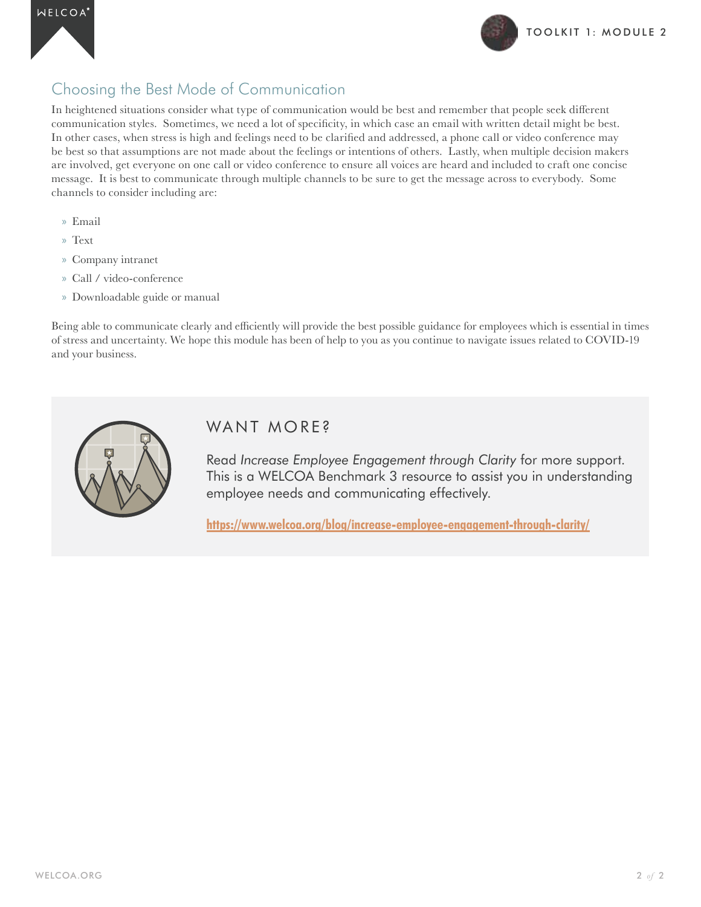

## Choosing the Best Mode of Communication

In heightened situations consider what type of communication would be best and remember that people seek different communication styles. Sometimes, we need a lot of specificity, in which case an email with written detail might be best. In other cases, when stress is high and feelings need to be clarified and addressed, a phone call or video conference may be best so that assumptions are not made about the feelings or intentions of others. Lastly, when multiple decision makers are involved, get everyone on one call or video conference to ensure all voices are heard and included to craft one concise message. It is best to communicate through multiple channels to be sure to get the message across to everybody. Some channels to consider including are:

- » Email
- » Text
- » Company intranet
- » Call / video-conference
- » Downloadable guide or manual

Being able to communicate clearly and efficiently will provide the best possible guidance for employees which is essential in times of stress and uncertainty. We hope this module has been of help to you as you continue to navigate issues related to COVID-19 and your business.



## WANT MORE?

Read *Increase Employee Engagement through Clarity* for more support. This is a WELCOA Benchmark 3 resource to assist you in understanding employee needs and communicating effectively.

**https://www.welcoa.org/blog/increase-employee-engagement-through-clarity/**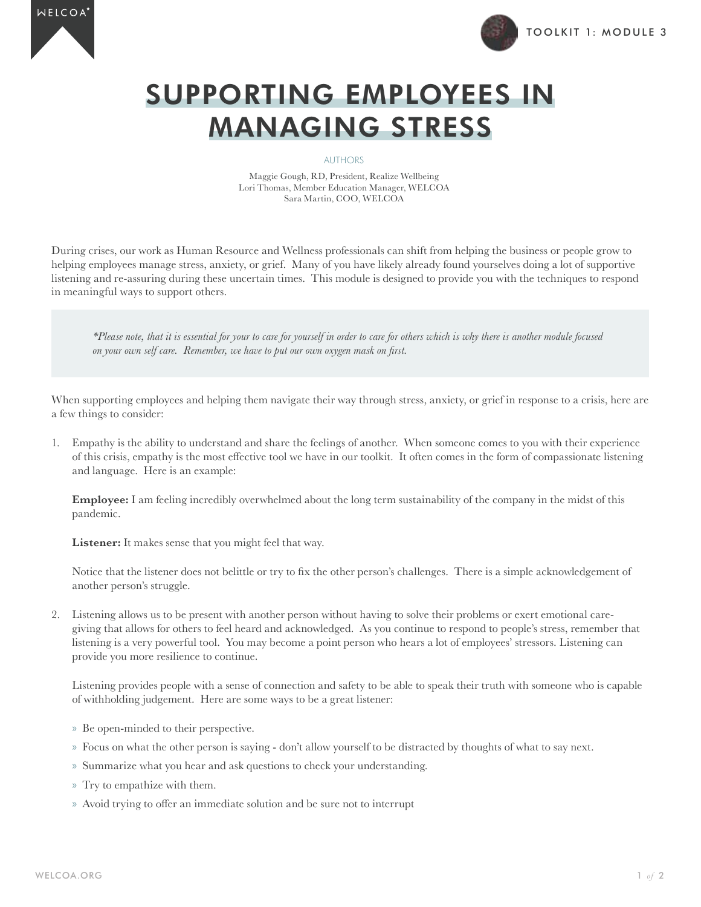



# SUPPORTING EMPLOYEES IN MANAGING STRESS

#### AUTHORS

Maggie Gough, RD, President, Realize Wellbeing Lori Thomas, Member Education Manager, WELCOA Sara Martin, COO, WELCOA

During crises, our work as Human Resource and Wellness professionals can shift from helping the business or people grow to helping employees manage stress, anxiety, or grief. Many of you have likely already found yourselves doing a lot of supportive listening and re-assuring during these uncertain times. This module is designed to provide you with the techniques to respond in meaningful ways to support others.

*\*Please note, that it is essential for your to care for yourself in order to care for others which is why there is another module focused on your own self care. Remember, we have to put our own oxygen mask on first.* 

When supporting employees and helping them navigate their way through stress, anxiety, or grief in response to a crisis, here are a few things to consider:

1. Empathy is the ability to understand and share the feelings of another. When someone comes to you with their experience of this crisis, empathy is the most effective tool we have in our toolkit. It often comes in the form of compassionate listening and language. Here is an example:

**Employee:** I am feeling incredibly overwhelmed about the long term sustainability of the company in the midst of this pandemic.

**Listener:** It makes sense that you might feel that way.

Notice that the listener does not belittle or try to fix the other person's challenges. There is a simple acknowledgement of another person's struggle.

2. Listening allows us to be present with another person without having to solve their problems or exert emotional caregiving that allows for others to feel heard and acknowledged. As you continue to respond to people's stress, remember that listening is a very powerful tool. You may become a point person who hears a lot of employees' stressors. Listening can provide you more resilience to continue.

Listening provides people with a sense of connection and safety to be able to speak their truth with someone who is capable of withholding judgement. Here are some ways to be a great listener:

- » Be open-minded to their perspective.
- » Focus on what the other person is saying don't allow yourself to be distracted by thoughts of what to say next.
- » Summarize what you hear and ask questions to check your understanding.
- » Try to empathize with them.
- » Avoid trying to offer an immediate solution and be sure not to interrupt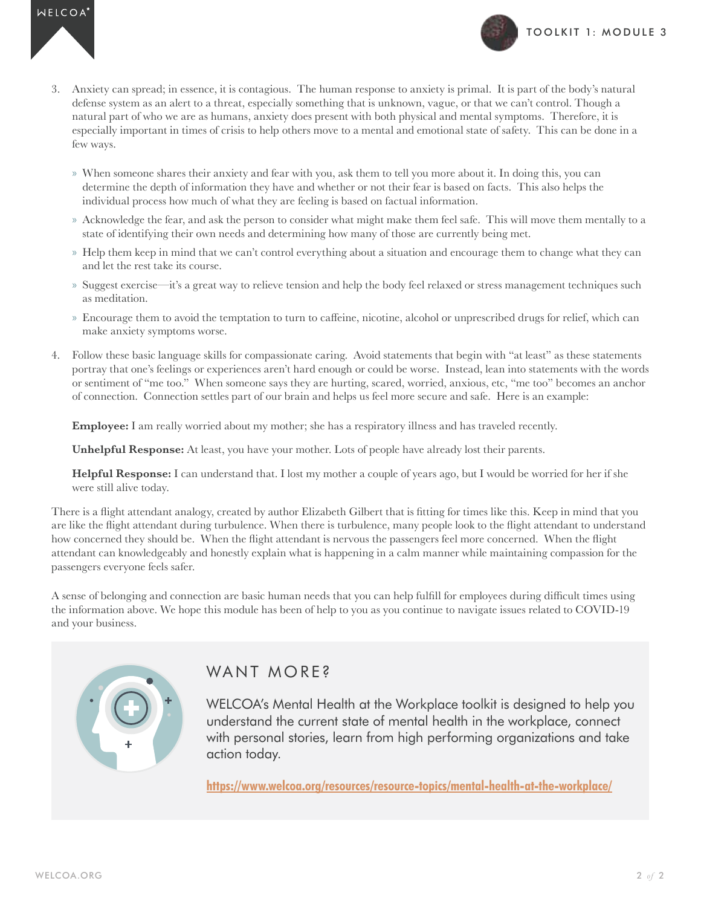



- 3. Anxiety can spread; in essence, it is contagious. The human response to anxiety is primal. It is part of the body's natural defense system as an alert to a threat, especially something that is unknown, vague, or that we can't control. Though a natural part of who we are as humans, anxiety does present with both physical and mental symptoms. Therefore, it is especially important in times of crisis to help others move to a mental and emotional state of safety. This can be done in a few ways.
	- » When someone shares their anxiety and fear with you, ask them to tell you more about it. In doing this, you can determine the depth of information they have and whether or not their fear is based on facts. This also helps the individual process how much of what they are feeling is based on factual information.
	- » Acknowledge the fear, and ask the person to consider what might make them feel safe. This will move them mentally to a state of identifying their own needs and determining how many of those are currently being met.
	- » Help them keep in mind that we can't control everything about a situation and encourage them to change what they can and let the rest take its course.
	- » Suggest exercise—it's a great way to relieve tension and help the body feel relaxed or stress management techniques such as meditation.
	- » Encourage them to avoid the temptation to turn to caffeine, nicotine, alcohol or unprescribed drugs for relief, which can make anxiety symptoms worse.
- 4. Follow these basic language skills for compassionate caring. Avoid statements that begin with "at least" as these statements portray that one's feelings or experiences aren't hard enough or could be worse. Instead, lean into statements with the words or sentiment of "me too." When someone says they are hurting, scared, worried, anxious, etc, "me too" becomes an anchor of connection. Connection settles part of our brain and helps us feel more secure and safe. Here is an example:

**Employee:** I am really worried about my mother; she has a respiratory illness and has traveled recently.

**Unhelpful Response:** At least, you have your mother. Lots of people have already lost their parents.

**Helpful Response:** I can understand that. I lost my mother a couple of years ago, but I would be worried for her if she were still alive today.

There is a flight attendant analogy, created by author Elizabeth Gilbert that is fitting for times like this. Keep in mind that you are like the flight attendant during turbulence. When there is turbulence, many people look to the flight attendant to understand how concerned they should be. When the flight attendant is nervous the passengers feel more concerned. When the flight attendant can knowledgeably and honestly explain what is happening in a calm manner while maintaining compassion for the passengers everyone feels safer.

A sense of belonging and connection are basic human needs that you can help fulfill for employees during difficult times using the information above. We hope this module has been of help to you as you continue to navigate issues related to COVID-19 and your business.



## WANT MORE?

WELCOA's Mental Health at the Workplace toolkit is designed to help you understand the current state of mental health in the workplace, connect with personal stories, learn from high performing organizations and take action today.

**https://www.welcoa.org/resources/resource-topics/mental-health-at-the-workplace/**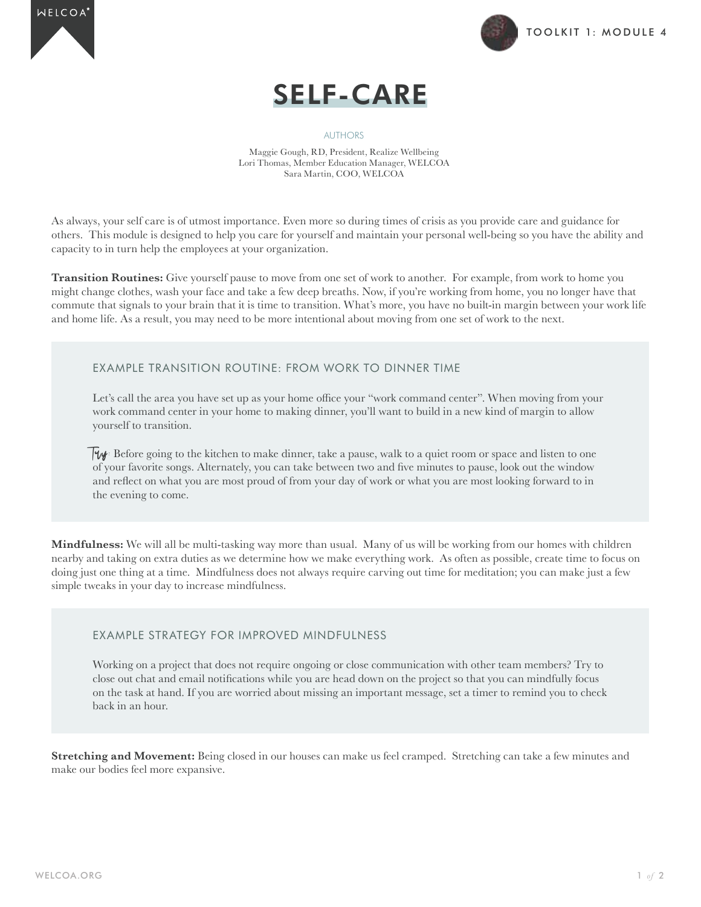





#### AUTHORS

Maggie Gough, RD, President, Realize Wellbeing Lori Thomas, Member Education Manager, WELCOA Sara Martin, COO, WELCOA

As always, your self care is of utmost importance. Even more so during times of crisis as you provide care and guidance for others. This module is designed to help you care for yourself and maintain your personal well-being so you have the ability and capacity to in turn help the employees at your organization.

**Transition Routines:** Give yourself pause to move from one set of work to another. For example, from work to home you might change clothes, wash your face and take a few deep breaths. Now, if you're working from home, you no longer have that commute that signals to your brain that it is time to transition. What's more, you have no built-in margin between your work life and home life. As a result, you may need to be more intentional about moving from one set of work to the next.

### EXAMPLE TRANSITION ROUTINE: FROM WORK TO DINNER TIME

Let's call the area you have set up as your home office your "work command center". When moving from your work command center in your home to making dinner, you'll want to build in a new kind of margin to allow yourself to transition.

Ty: Before going to the kitchen to make dinner, take a pause, walk to a quiet room or space and listen to one of your favorite songs. Alternately, you can take between two and five minutes to pause, look out the window and reflect on what you are most proud of from your day of work or what you are most looking forward to in the evening to come.

**Mindfulness:** We will all be multi-tasking way more than usual. Many of us will be working from our homes with children nearby and taking on extra duties as we determine how we make everything work. As often as possible, create time to focus on doing just one thing at a time. Mindfulness does not always require carving out time for meditation; you can make just a few simple tweaks in your day to increase mindfulness.

### EXAMPLE STRATEGY FOR IMPROVED MINDFULNESS

Working on a project that does not require ongoing or close communication with other team members? Try to close out chat and email notifications while you are head down on the project so that you can mindfully focus on the task at hand. If you are worried about missing an important message, set a timer to remind you to check back in an hour.

**Stretching and Movement:** Being closed in our houses can make us feel cramped. Stretching can take a few minutes and make our bodies feel more expansive.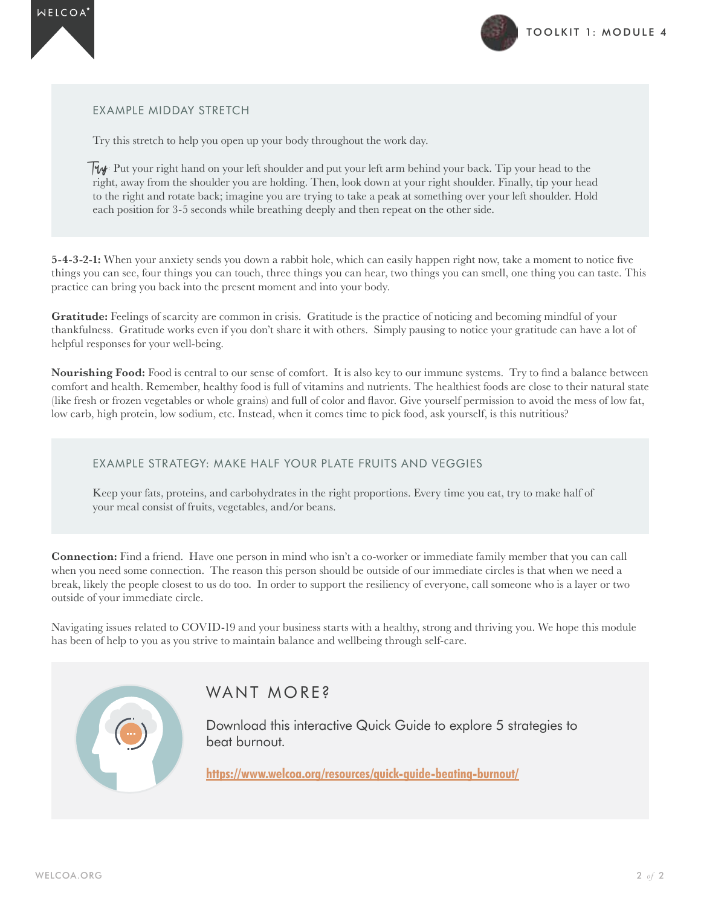



EXAMPLE MIDDAY STRETCH

Try this stretch to help you open up your body throughout the work day.

 $\mathbb{F}_{\mathcal{W}}$ : Put your right hand on your left shoulder and put your left arm behind your back. Tip your head to the right, away from the shoulder you are holding. Then, look down at your right shoulder. Finally, tip your head to the right and rotate back; imagine you are trying to take a peak at something over your left shoulder. Hold each position for 3-5 seconds while breathing deeply and then repeat on the other side.

**5-4-3-2-1:** When your anxiety sends you down a rabbit hole, which can easily happen right now, take a moment to notice five things you can see, four things you can touch, three things you can hear, two things you can smell, one thing you can taste. This practice can bring you back into the present moment and into your body.

Gratitude: Feelings of scarcity are common in crisis. Gratitude is the practice of noticing and becoming mindful of your thankfulness. Gratitude works even if you don't share it with others. Simply pausing to notice your gratitude can have a lot of helpful responses for your well-being.

**Nourishing Food:** Food is central to our sense of comfort. It is also key to our immune systems. Try to find a balance between comfort and health. Remember, healthy food is full of vitamins and nutrients. The healthiest foods are close to their natural state (like fresh or frozen vegetables or whole grains) and full of color and flavor. Give yourself permission to avoid the mess of low fat, low carb, high protein, low sodium, etc. Instead, when it comes time to pick food, ask yourself, is this nutritious?

### EXAMPLE STRATEGY: MAKE HALF YOUR PLATE FRUITS AND VEGGIES

Keep your fats, proteins, and carbohydrates in the right proportions. Every time you eat, try to make half of your meal consist of fruits, vegetables, and/or beans.

**Connection:** Find a friend. Have one person in mind who isn't a co-worker or immediate family member that you can call when you need some connection. The reason this person should be outside of our immediate circles is that when we need a break, likely the people closest to us do too. In order to support the resiliency of everyone, call someone who is a layer or two outside of your immediate circle.

Navigating issues related to COVID-19 and your business starts with a healthy, strong and thriving you. We hope this module has been of help to you as you strive to maintain balance and wellbeing through self-care.



### WANT MORE?

Download this interactive Quick Guide to explore 5 strategies to beat burnout.

**https://www.welcoa.org/resources/quick-guide-beating-burnout/**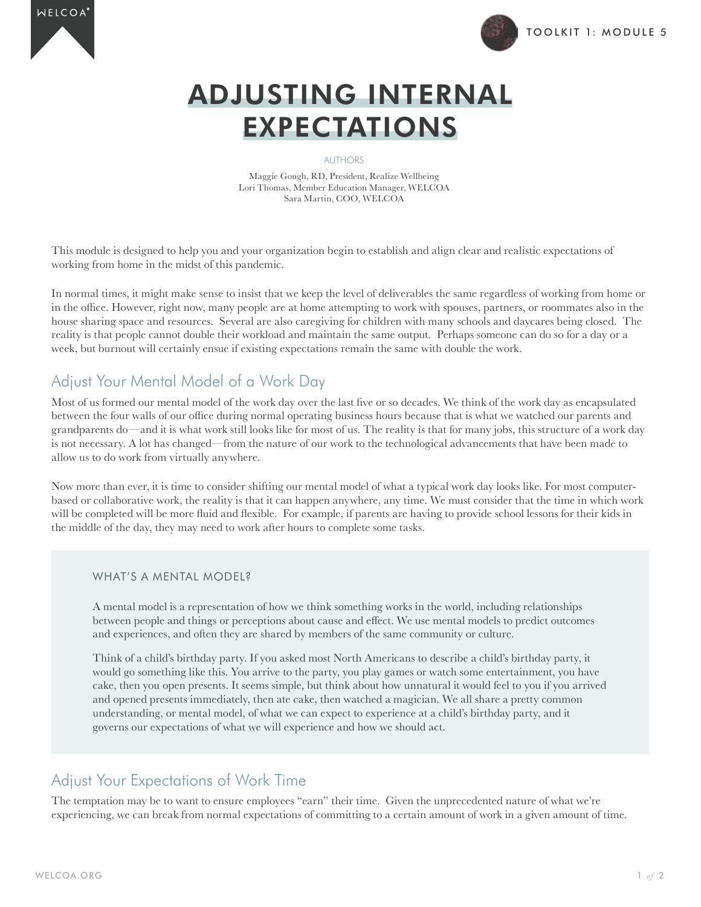



# ADJUSTING INTERNAL EXPECTATIONS

#### AUTHORS

Maggie Gough, RD, President, Realize Wellbeing Lori Thomas, Member Education Manager, WELCOA Sara Martin, COO, WELCOA

This module is designed to help you and your organization begin to establish and align clear and realistic expectations of working from home in the midst of this pandemic.

In normal times, it might make sense to insist that we keep the level of deliverables the same regardless of working from home or in the office. However, right now, many people are at home attempting to work with spouses, partners, or roommates also in the house sharing space and resources. Several are also caregiving for children with many schools and daycares being closed. The reality is that people cannot double their workload and maintain the same output. Perhaps someone can do so for a day or a week, but burnout will certainly ensue if existing expectations remain the same with double the work.

## Adjust Your Mental Model of a Work Day

Most of us formed our mental model of the work day over the last five or so decades. We think of the work day as encapsulated between the four walls of our office during normal operating business hours because that is what we watched our parents and grandparents do—and it is what work still looks like for most of us. The reality is that for many jobs, this structure of a work day is not necessary. A lot has changed—from the nature of our work to the technological advancements that have been made to allow us to do work from virtually anywhere.

Now more than ever, it is time to consider shifting our mental model of what a typical work day looks like. For most computerbased or collaborative work, the reality is that it can happen anywhere, any time. We must consider that the time in which work will be completed will be more fluid and flexible. For example, if parents are having to provide school lessons for their kids in the middle of the day, they may need to work after hours to complete some tasks.

### WHAT'S A MENTAL MODEL?

A mental model is a representation of how we think something works in the world, including relationships between people and things or perceptions about cause and effect. We use mental models to predict outcomes and experiences, and often they are shared by members of the same community or culture.

Think of a child's birthday party. If you asked most North Americans to describe a child's birthday party, it would go something like this. You arrive to the party, you play games or watch some entertainment, you have cake, then you open presents. It seems simple, but think about how unnatural it would feel to you if you arrived and opened presents immediately, then ate cake, then watched a magician. We all share a pretty common understanding, or mental model, of what we can expect to experience at a child's birthday party, and it governs our expectations of what we will experience and how we should act.

## Adjust Your Expectations of Work Time

The temptation may be to want to ensure employees "earn" their time. Given the unprecedented nature of what we're experiencing, we can break from normal expectations of committing to a certain amount of work in a given amount of time.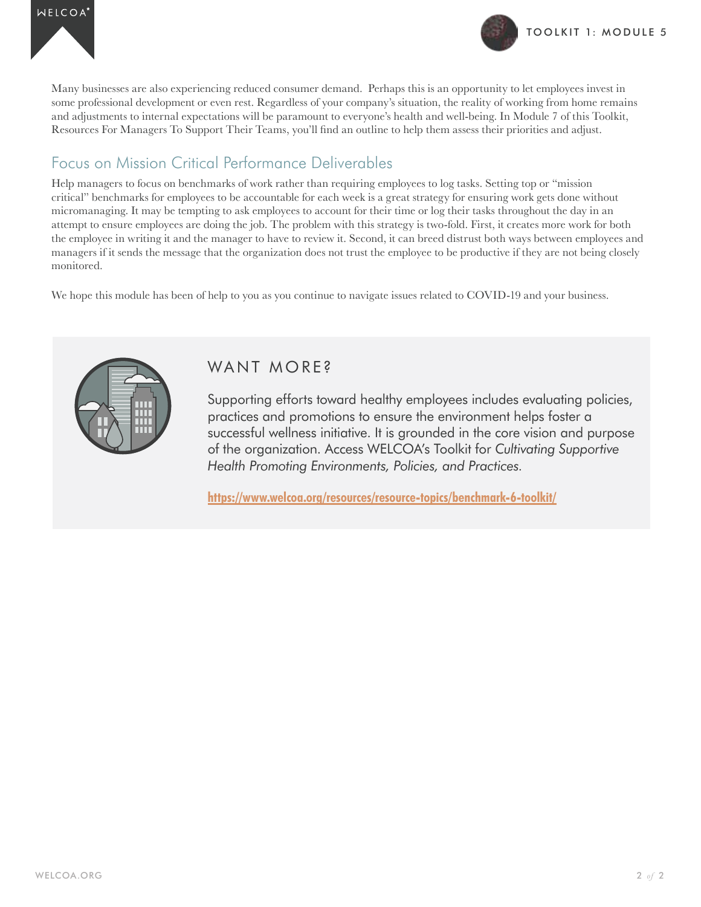



Many businesses are also experiencing reduced consumer demand. Perhaps this is an opportunity to let employees invest in some professional development or even rest. Regardless of your company's situation, the reality of working from home remains and adjustments to internal expectations will be paramount to everyone's health and well-being. In Module 7 of this Toolkit, Resources For Managers To Support Their Teams, you'll find an outline to help them assess their priorities and adjust.

# Focus on Mission Critical Performance Deliverables

Help managers to focus on benchmarks of work rather than requiring employees to log tasks. Setting top or "mission critical" benchmarks for employees to be accountable for each week is a great strategy for ensuring work gets done without micromanaging. It may be tempting to ask employees to account for their time or log their tasks throughout the day in an attempt to ensure employees are doing the job. The problem with this strategy is two-fold. First, it creates more work for both the employee in writing it and the manager to have to review it. Second, it can breed distrust both ways between employees and managers if it sends the message that the organization does not trust the employee to be productive if they are not being closely monitored.

We hope this module has been of help to you as you continue to navigate issues related to COVID-19 and your business.



## WANT MORE?

Supporting efforts toward healthy employees includes evaluating policies, practices and promotions to ensure the environment helps foster a successful wellness initiative. It is grounded in the core vision and purpose of the organization. Access WELCOA's Toolkit for *Cultivating Supportive Health Promoting Environments, Policies, and Practices.*

**https://www.welcoa.org/resources/resource-topics/benchmark-6-toolkit/**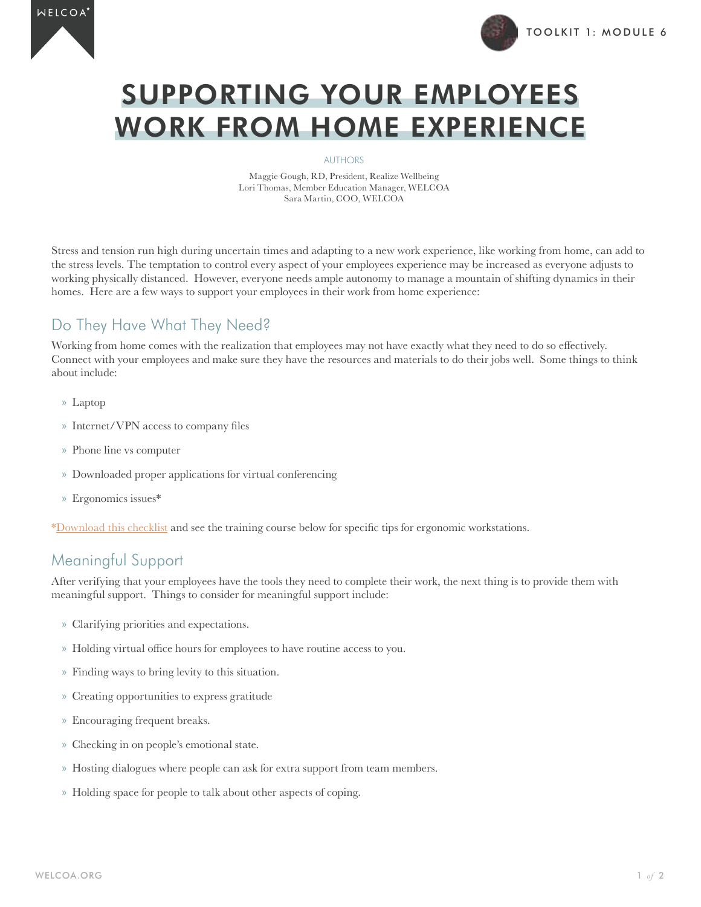



# SUPPORTING YOUR EMPLOYEES WORK FROM HOME EXPERIENCE

#### AUTHORS

Maggie Gough, RD, President, Realize Wellbeing Lori Thomas, Member Education Manager, WELCOA Sara Martin, COO, WELCOA

Stress and tension run high during uncertain times and adapting to a new work experience, like working from home, can add to the stress levels. The temptation to control every aspect of your employees experience may be increased as everyone adjusts to working physically distanced. However, everyone needs ample autonomy to manage a mountain of shifting dynamics in their homes. Here are a few ways to support your employees in their work from home experience:

# Do They Have What They Need?

Working from home comes with the realization that employees may not have exactly what they need to do so effectively. Connect with your employees and make sure they have the resources and materials to do their jobs well. Some things to think about include:

- » Laptop
- » Internet/VPN access to company files
- » Phone line vs computer
- » Downloaded proper applications for virtual conferencing
- » Ergonomics issues\*

[\\*Download this checklist](https://institute.welcoa.org/wp/wp-content/uploads/2016/07/ws-ergo-checklist.pdf) and see the training course below for specific tips for ergonomic workstations.

## Meaningful Support

After verifying that your employees have the tools they need to complete their work, the next thing is to provide them with meaningful support. Things to consider for meaningful support include:

- » Clarifying priorities and expectations.
- » Holding virtual office hours for employees to have routine access to you.
- » Finding ways to bring levity to this situation.
- » Creating opportunities to express gratitude
- » Encouraging frequent breaks.
- » Checking in on people's emotional state.
- » Hosting dialogues where people can ask for extra support from team members.
- » Holding space for people to talk about other aspects of coping.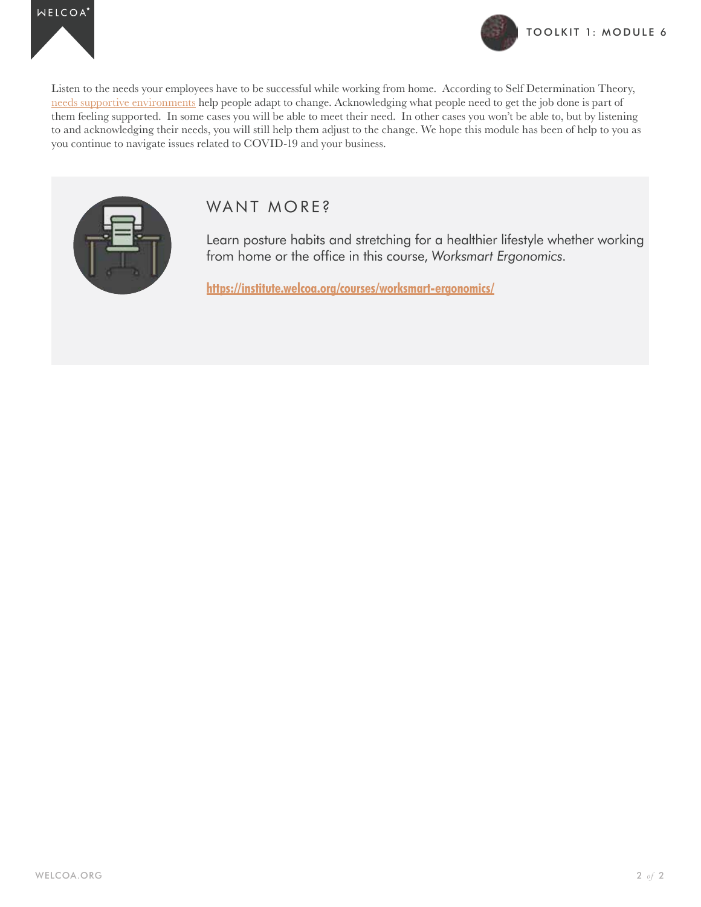



Listen to the needs your employees have to be successful while working from home. According to Self Determination Theory, [needs supportive environments](https://www.welcoa.org/resources/resource-topics/benchmark-6-toolkit/) help people adapt to change. Acknowledging what people need to get the job done is part of them feeling supported. In some cases you will be able to meet their need. In other cases you won't be able to, but by listening to and acknowledging their needs, you will still help them adjust to the change. We hope this module has been of help to you as you continue to navigate issues related to COVID-19 and your business.



## WANT MORE?

Learn posture habits and stretching for a healthier lifestyle whether working from home or the office in this course, *Worksmart Ergonomics*.

**https://institute.welcoa.org/courses/worksmart-ergonomics/**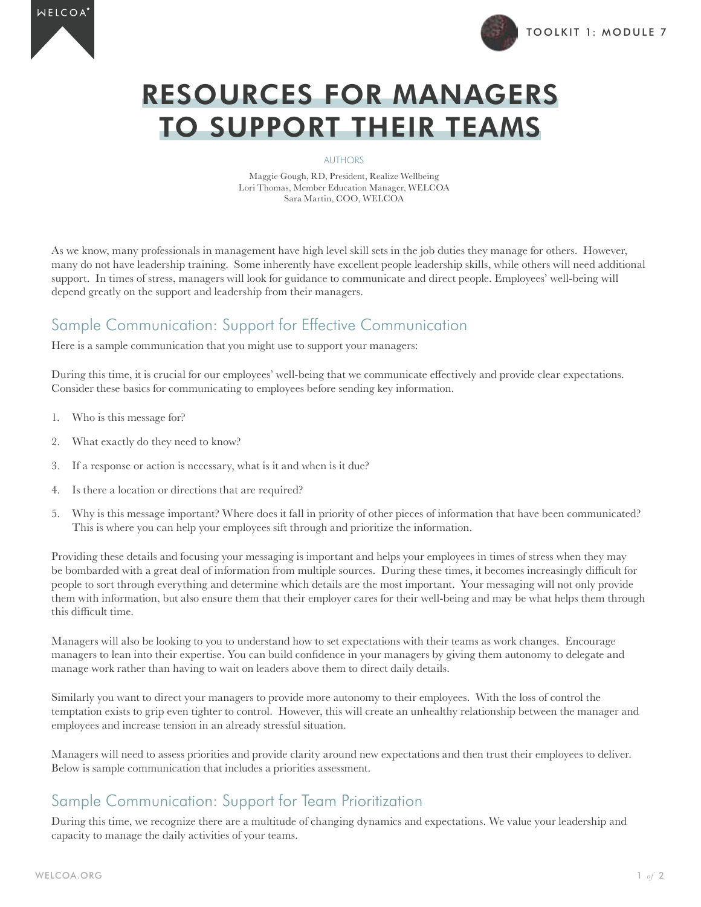



# RESOURCES FOR MANAGERS TO SUPPORT THEIR TEAMS

AUTHORS

Maggie Gough, RD, President, Realize Wellbeing Lori Thomas, Member Education Manager, WELCOA Sara Martin, COO, WELCOA

As we know, many professionals in management have high level skill sets in the job duties they manage for others. However, many do not have leadership training. Some inherently have excellent people leadership skills, while others will need additional support. In times of stress, managers will look for guidance to communicate and direct people. Employees' well-being will depend greatly on the support and leadership from their managers.

## Sample Communication: Support for Effective Communication

Here is a sample communication that you might use to support your managers:

During this time, it is crucial for our employees' well-being that we communicate effectively and provide clear expectations. Consider these basics for communicating to employees before sending key information.

- 1. Who is this message for?
- 2. What exactly do they need to know?
- 3. If a response or action is necessary, what is it and when is it due?
- 4. Is there a location or directions that are required?
- 5. Why is this message important? Where does it fall in priority of other pieces of information that have been communicated? This is where you can help your employees sift through and prioritize the information.

Providing these details and focusing your messaging is important and helps your employees in times of stress when they may be bombarded with a great deal of information from multiple sources. During these times, it becomes increasingly difficult for people to sort through everything and determine which details are the most important. Your messaging will not only provide them with information, but also ensure them that their employer cares for their well-being and may be what helps them through this difficult time.

Managers will also be looking to you to understand how to set expectations with their teams as work changes. Encourage managers to lean into their expertise. You can build confidence in your managers by giving them autonomy to delegate and manage work rather than having to wait on leaders above them to direct daily details.

Similarly you want to direct your managers to provide more autonomy to their employees. With the loss of control the temptation exists to grip even tighter to control. However, this will create an unhealthy relationship between the manager and employees and increase tension in an already stressful situation.

Managers will need to assess priorities and provide clarity around new expectations and then trust their employees to deliver. Below is sample communication that includes a priorities assessment.

## Sample Communication: Support for Team Prioritization

During this time, we recognize there are a multitude of changing dynamics and expectations. We value your leadership and capacity to manage the daily activities of your teams.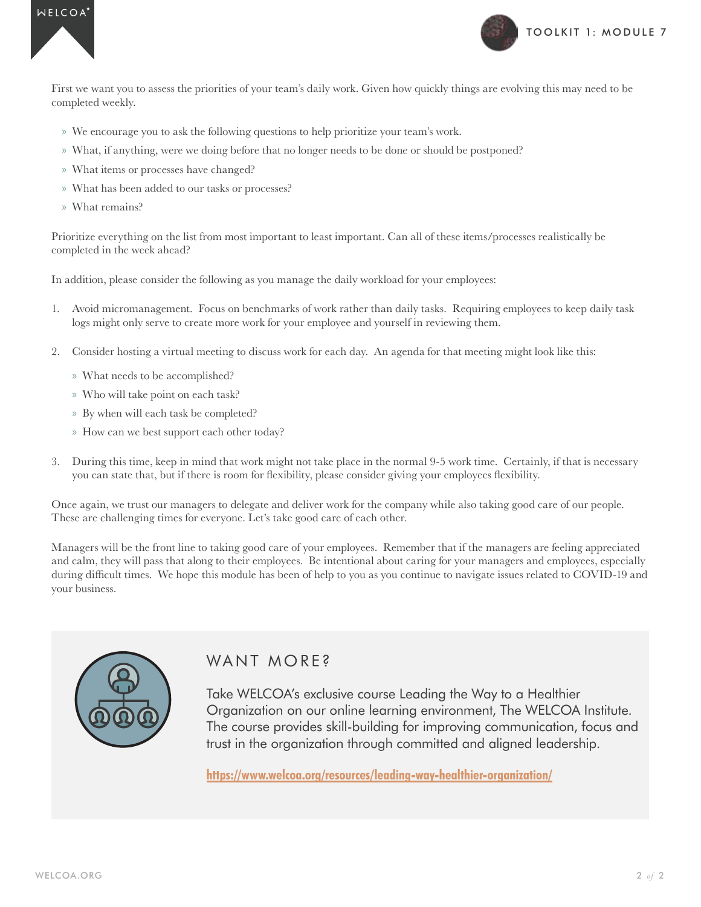



First we want you to assess the priorities of your team's daily work. Given how quickly things are evolving this may need to be completed weekly.

- » We encourage you to ask the following questions to help prioritize your team's work.
- » What, if anything, were we doing before that no longer needs to be done or should be postponed?
- » What items or processes have changed?
- » What has been added to our tasks or processes?
- » What remains?

Prioritize everything on the list from most important to least important. Can all of these items/processes realistically be completed in the week ahead?

In addition, please consider the following as you manage the daily workload for your employees:

- 1. Avoid micromanagement. Focus on benchmarks of work rather than daily tasks. Requiring employees to keep daily task logs might only serve to create more work for your employee and yourself in reviewing them.
- 2. Consider hosting a virtual meeting to discuss work for each day. An agenda for that meeting might look like this:
	- » What needs to be accomplished?
	- » Who will take point on each task?
	- » By when will each task be completed?
	- » How can we best support each other today?
- 3. During this time, keep in mind that work might not take place in the normal 9-5 work time. Certainly, if that is necessary you can state that, but if there is room for flexibility, please consider giving your employees flexibility.

Once again, we trust our managers to delegate and deliver work for the company while also taking good care of our people. These are challenging times for everyone. Let's take good care of each other.

Managers will be the front line to taking good care of your employees. Remember that if the managers are feeling appreciated and calm, they will pass that along to their employees. Be intentional about caring for your managers and employees, especially during difficult times. We hope this module has been of help to you as you continue to navigate issues related to COVID-19 and your business.



## WANT MORE?

Take WELCOA's exclusive course Leading the Way to a Healthier Organization on our online learning environment, The WELCOA Institute. The course provides skill-building for improving communication, focus and trust in the organization through committed and aligned leadership.

**https://www.welcoa.org/resources/leading-way-healthier-organization/**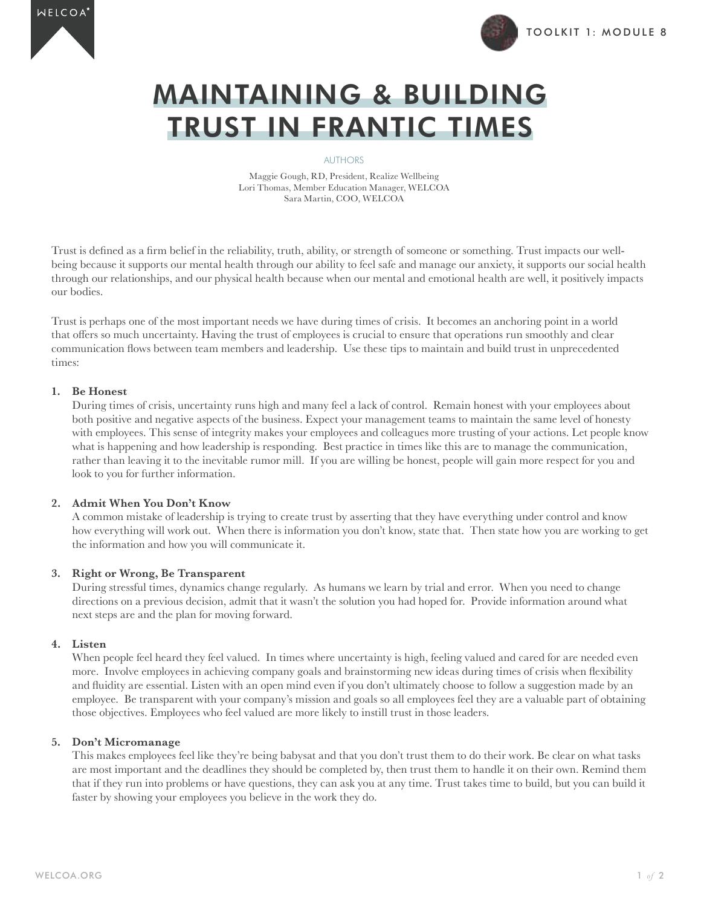



# MAINTAINING & BUILDING TRUST IN FRANTIC TIMES

#### AUTHORS

Maggie Gough, RD, President, Realize Wellbeing Lori Thomas, Member Education Manager, WELCOA Sara Martin, COO, WELCOA

Trust is defined as a firm belief in the reliability, truth, ability, or strength of someone or something. Trust impacts our wellbeing because it supports our mental health through our ability to feel safe and manage our anxiety, it supports our social health through our relationships, and our physical health because when our mental and emotional health are well, it positively impacts our bodies.

Trust is perhaps one of the most important needs we have during times of crisis. It becomes an anchoring point in a world that offers so much uncertainty. Having the trust of employees is crucial to ensure that operations run smoothly and clear communication flows between team members and leadership. Use these tips to maintain and build trust in unprecedented times:

#### **1. Be Honest**

During times of crisis, uncertainty runs high and many feel a lack of control. Remain honest with your employees about both positive and negative aspects of the business. Expect your management teams to maintain the same level of honesty with employees. This sense of integrity makes your employees and colleagues more trusting of your actions. Let people know what is happening and how leadership is responding. Best practice in times like this are to manage the communication, rather than leaving it to the inevitable rumor mill. If you are willing be honest, people will gain more respect for you and look to you for further information.

### **2. Admit When You Don't Know**

A common mistake of leadership is trying to create trust by asserting that they have everything under control and know how everything will work out. When there is information you don't know, state that. Then state how you are working to get the information and how you will communicate it.

### **3. Right or Wrong, Be Transparent**

During stressful times, dynamics change regularly. As humans we learn by trial and error. When you need to change directions on a previous decision, admit that it wasn't the solution you had hoped for. Provide information around what next steps are and the plan for moving forward.

### **4. Listen**

When people feel heard they feel valued. In times where uncertainty is high, feeling valued and cared for are needed even more. Involve employees in achieving company goals and brainstorming new ideas during times of crisis when flexibility and fluidity are essential. Listen with an open mind even if you don't ultimately choose to follow a suggestion made by an employee. Be transparent with your company's mission and goals so all employees feel they are a valuable part of obtaining those objectives. Employees who feel valued are more likely to instill trust in those leaders.

### **5. Don't Micromanage**

This makes employees feel like they're being babysat and that you don't trust them to do their work. Be clear on what tasks are most important and the deadlines they should be completed by, then trust them to handle it on their own. Remind them that if they run into problems or have questions, they can ask you at any time. Trust takes time to build, but you can build it faster by showing your employees you believe in the work they do.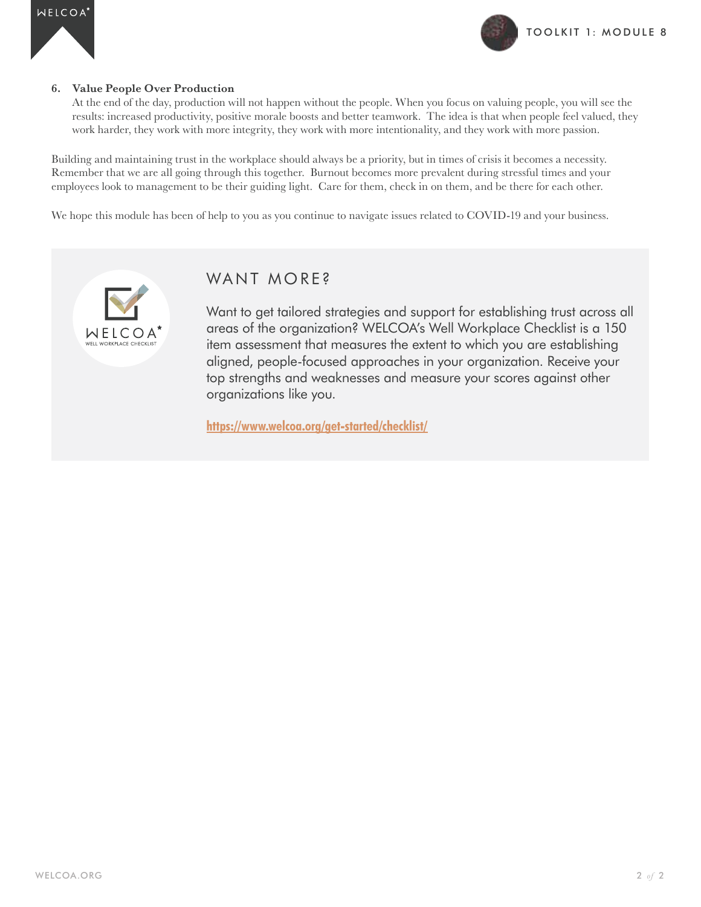

#### **6. Value People Over Production**

At the end of the day, production will not happen without the people. When you focus on valuing people, you will see the results: increased productivity, positive morale boosts and better teamwork. The idea is that when people feel valued, they work harder, they work with more integrity, they work with more intentionality, and they work with more passion.

Building and maintaining trust in the workplace should always be a priority, but in times of crisis it becomes a necessity. Remember that we are all going through this together. Burnout becomes more prevalent during stressful times and your employees look to management to be their guiding light. Care for them, check in on them, and be there for each other.

We hope this module has been of help to you as you continue to navigate issues related to COVID-19 and your business.



## WANT MORE?

Want to get tailored strategies and support for establishing trust across all areas of the organization? WELCOA's Well Workplace Checklist is a 150 item assessment that measures the extent to which you are establishing aligned, people-focused approaches in your organization. Receive your top strengths and weaknesses and measure your scores against other organizations like you.

**https://www.welcoa.org/get-started/checklist/**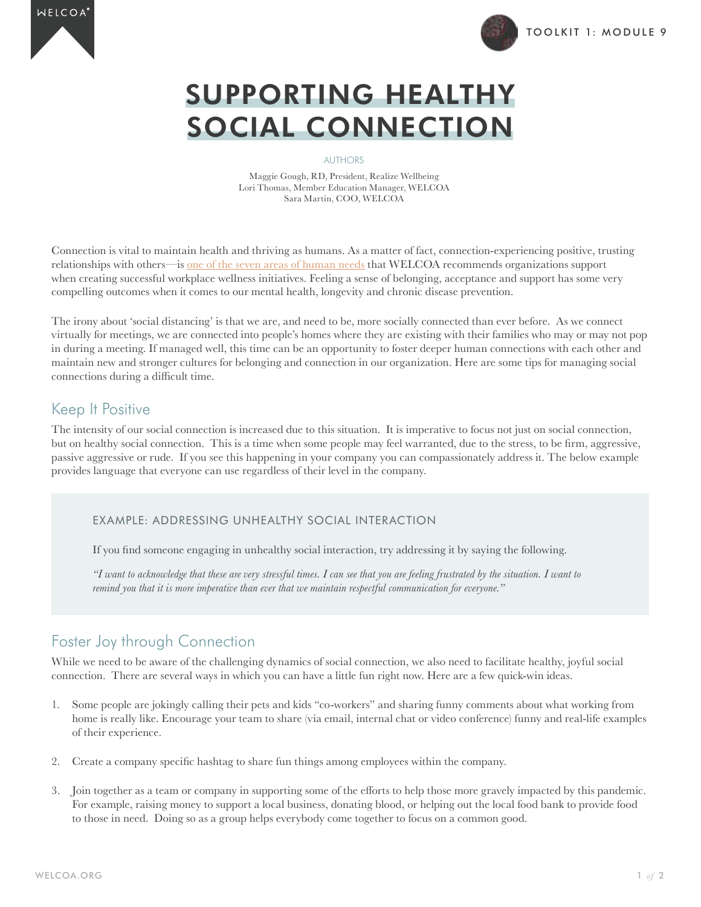



# SUPPORTING HEALTHY SOCIAL CONNECTION

#### AUTHORS

Maggie Gough, RD, President, Realize Wellbeing Lori Thomas, Member Education Manager, WELCOA Sara Martin, COO, WELCOA

Connection is vital to maintain health and thriving as humans. As a matter of fact, connection-experiencing positive, trusting relationships with others—is [one of the seven areas of human needs](https://www.welcoa.org/blog/definition-of-wellness/) that WELCOA recommends organizations support when creating successful workplace wellness initiatives. Feeling a sense of belonging, acceptance and support has some very compelling outcomes when it comes to our mental health, longevity and chronic disease prevention.

The irony about 'social distancing' is that we are, and need to be, more socially connected than ever before. As we connect virtually for meetings, we are connected into people's homes where they are existing with their families who may or may not pop in during a meeting. If managed well, this time can be an opportunity to foster deeper human connections with each other and maintain new and stronger cultures for belonging and connection in our organization. Here are some tips for managing social connections during a difficult time.

## Keep It Positive

The intensity of our social connection is increased due to this situation. It is imperative to focus not just on social connection, but on healthy social connection. This is a time when some people may feel warranted, due to the stress, to be firm, aggressive, passive aggressive or rude. If you see this happening in your company you can compassionately address it. The below example provides language that everyone can use regardless of their level in the company.

### EXAMPLE: ADDRESSING UNHEALTHY SOCIAL INTERACTION

If you find someone engaging in unhealthy social interaction, try addressing it by saying the following.

*"I want to acknowledge that these are very stressful times. I can see that you are feeling frustrated by the situation. I want to remind you that it is more imperative than ever that we maintain respectful communication for everyone."*

## Foster Joy through Connection

While we need to be aware of the challenging dynamics of social connection, we also need to facilitate healthy, joyful social connection. There are several ways in which you can have a little fun right now. Here are a few quick-win ideas.

- 1. Some people are jokingly calling their pets and kids "co-workers" and sharing funny comments about what working from home is really like. Encourage your team to share (via email, internal chat or video conference) funny and real-life examples of their experience.
- 2. Create a company specific hashtag to share fun things among employees within the company.
- 3. Join together as a team or company in supporting some of the efforts to help those more gravely impacted by this pandemic. For example, raising money to support a local business, donating blood, or helping out the local food bank to provide food to those in need. Doing so as a group helps everybody come together to focus on a common good.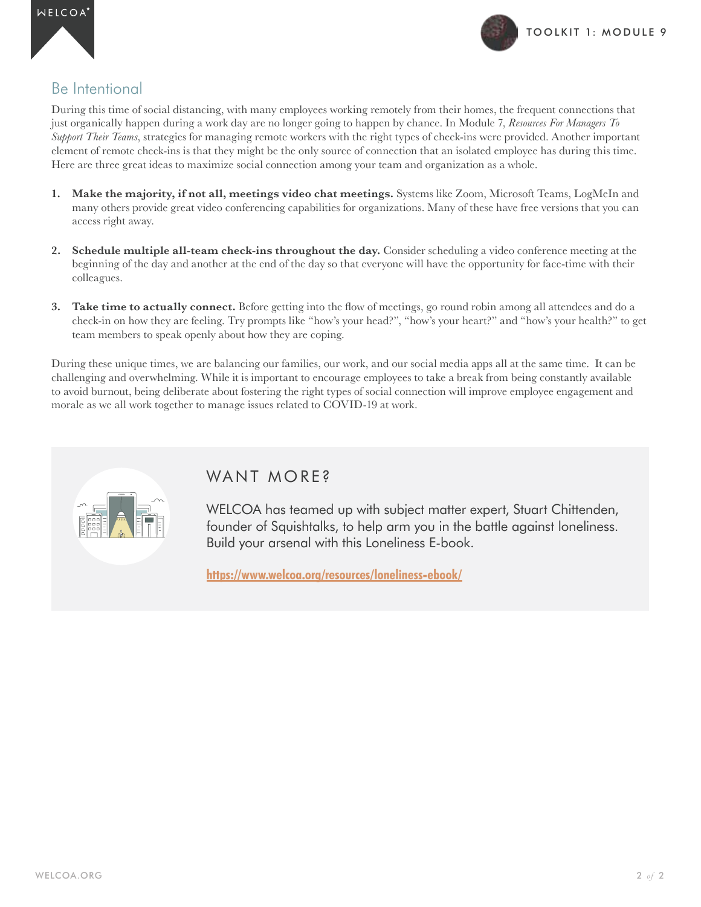

## Be Intentional

During this time of social distancing, with many employees working remotely from their homes, the frequent connections that just organically happen during a work day are no longer going to happen by chance. In Module 7, *Resources For Managers To Support Their Teams*, strategies for managing remote workers with the right types of check-ins were provided. Another important element of remote check-ins is that they might be the only source of connection that an isolated employee has during this time. Here are three great ideas to maximize social connection among your team and organization as a whole.

- **1. Make the majority, if not all, meetings video chat meetings.** Systems like Zoom, Microsoft Teams, LogMeIn and many others provide great video conferencing capabilities for organizations. Many of these have free versions that you can access right away.
- **2. Schedule multiple all-team check-ins throughout the day.** Consider scheduling a video conference meeting at the beginning of the day and another at the end of the day so that everyone will have the opportunity for face-time with their colleagues.
- **3. Take time to actually connect.** Before getting into the flow of meetings, go round robin among all attendees and do a check-in on how they are feeling. Try prompts like "how's your head?", "how's your heart?" and "how's your health?" to get team members to speak openly about how they are coping.

During these unique times, we are balancing our families, our work, and our social media apps all at the same time. It can be challenging and overwhelming. While it is important to encourage employees to take a break from being constantly available to avoid burnout, being deliberate about fostering the right types of social connection will improve employee engagement and morale as we all work together to manage issues related to COVID-19 at work.



## WANT MORE?

WELCOA has teamed up with subject matter expert, Stuart Chittenden, founder of Squishtalks, to help arm you in the battle against loneliness. Build your arsenal with this Loneliness E-book.

**https://www.welcoa.org/resources/loneliness-ebook/**